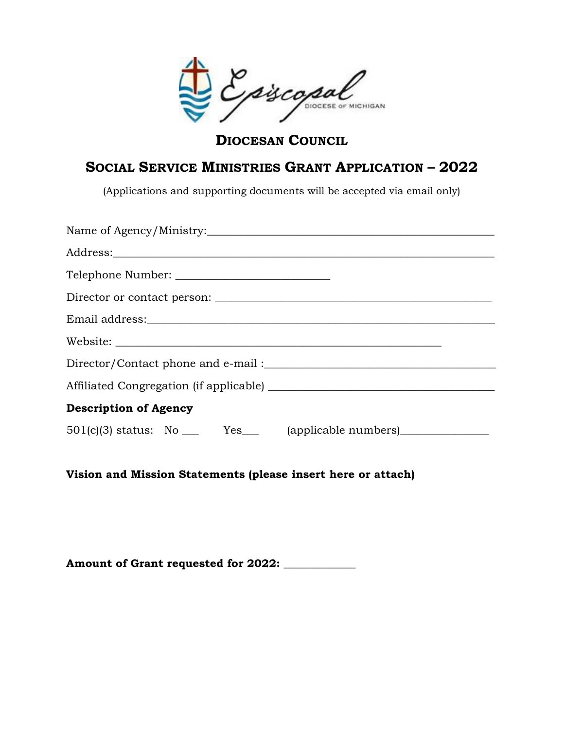piscopal

**DIOCESAN COUNCIL**

## **SOCIAL SERVICE MINISTRIES GRANT APPLICATION – 2022**

(Applications and supporting documents will be accepted via email only)

| Address: <u>with a series of the series of the series of the series of the series of the series of the series of the series of the series of the series of the series of the series of the series of the series of the series of</u> |
|--------------------------------------------------------------------------------------------------------------------------------------------------------------------------------------------------------------------------------------|
|                                                                                                                                                                                                                                      |
|                                                                                                                                                                                                                                      |
|                                                                                                                                                                                                                                      |
|                                                                                                                                                                                                                                      |
|                                                                                                                                                                                                                                      |
|                                                                                                                                                                                                                                      |
| <b>Description of Agency</b>                                                                                                                                                                                                         |
| $501(c)(3)$ status: No $\_\_\_\$ Yes (applicable numbers)                                                                                                                                                                            |

**Vision and Mission Statements (please insert here or attach)**

**Amount of Grant requested for 2022: \_\_\_\_\_\_\_\_\_\_\_\_\_**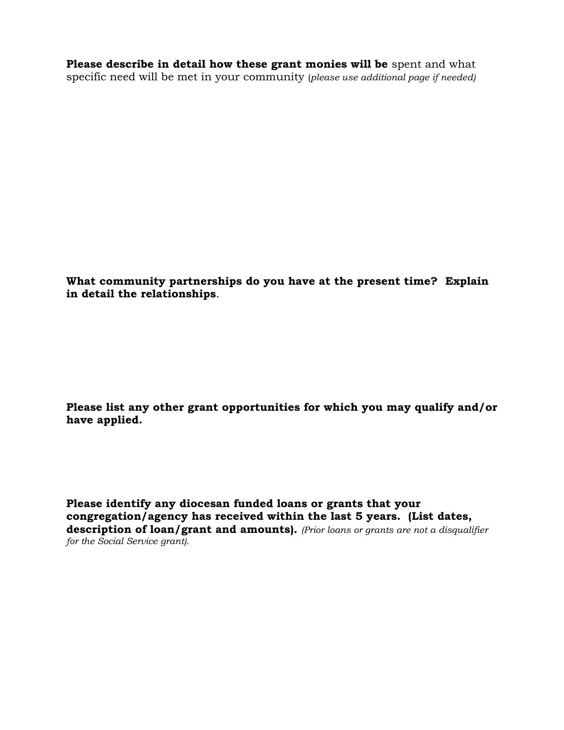**Please describe in detail how these grant monies will be** spent and what specific need will be met in your community (*please use additional page if needed)* 

**What community partnerships do you have at the present time? Explain in detail the relationships**.

**Please list any other grant opportunities for which you may qualify and/or have applied.**

**Please identify any diocesan funded loans or grants that your congregation/agency has received within the last 5 years. (List dates, description of loan/grant and amounts).** *(Prior loans or grants are not a disqualifier for the Social Service grant).*